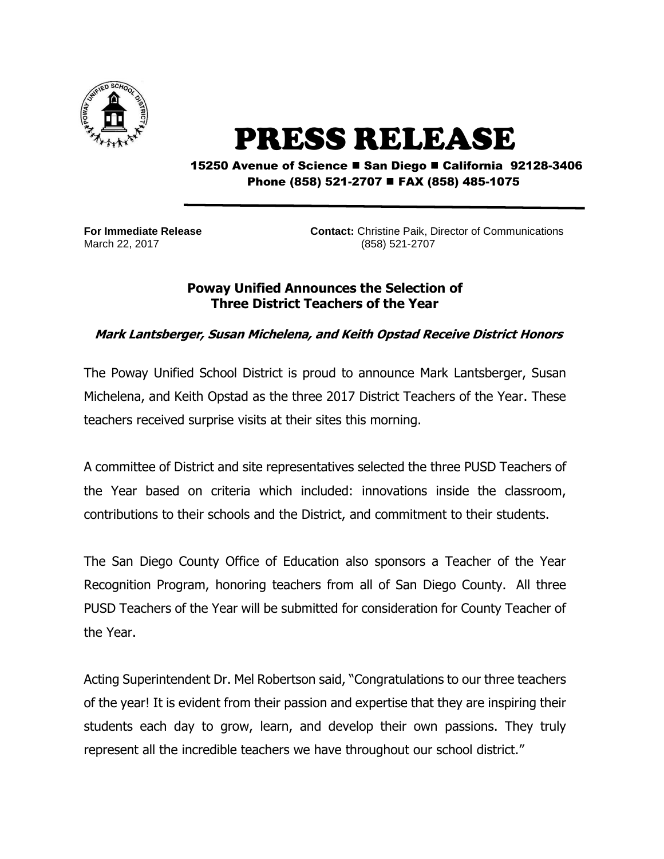

## PRESS RELEASE

15250 Avenue of Science ■ San Diego ■ California 92128-3406 Phone (858) 521-2707 ■ FAX (858) 485-1075

**For Immediate Release Contact:** Christine Paik, Director of Communications March 22, 2017 (858) 521-2707

## **Poway Unified Announces the Selection of Three District Teachers of the Year**

## **Mark Lantsberger, Susan Michelena, and Keith Opstad Receive District Honors**

The Poway Unified School District is proud to announce Mark Lantsberger, Susan Michelena, and Keith Opstad as the three 2017 District Teachers of the Year. These teachers received surprise visits at their sites this morning.

A committee of District and site representatives selected the three PUSD Teachers of the Year based on criteria which included: innovations inside the classroom, contributions to their schools and the District, and commitment to their students.

The San Diego County Office of Education also sponsors a Teacher of the Year Recognition Program, honoring teachers from all of San Diego County. All three PUSD Teachers of the Year will be submitted for consideration for County Teacher of the Year.

Acting Superintendent Dr. Mel Robertson said, "Congratulations to our three teachers of the year! It is evident from their passion and expertise that they are inspiring their students each day to grow, learn, and develop their own passions. They truly represent all the incredible teachers we have throughout our school district."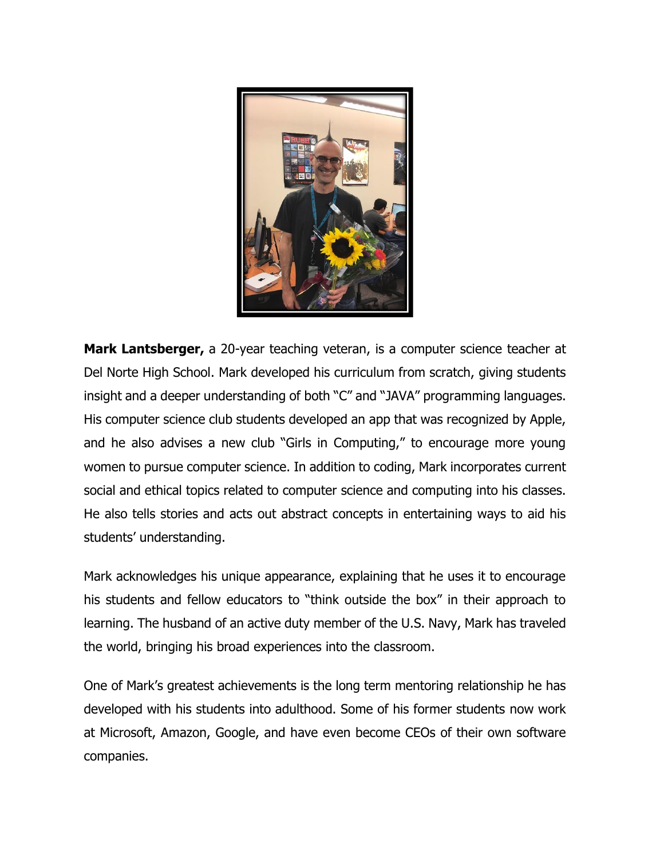

**Mark Lantsberger,** a 20-year teaching veteran, is a computer science teacher at Del Norte High School. Mark developed his curriculum from scratch, giving students insight and a deeper understanding of both "C" and "JAVA" programming languages. His computer science club students developed an app that was recognized by Apple, and he also advises a new club "Girls in Computing," to encourage more young women to pursue computer science. In addition to coding, Mark incorporates current social and ethical topics related to computer science and computing into his classes. He also tells stories and acts out abstract concepts in entertaining ways to aid his students' understanding.

Mark acknowledges his unique appearance, explaining that he uses it to encourage his students and fellow educators to "think outside the box" in their approach to learning. The husband of an active duty member of the U.S. Navy, Mark has traveled the world, bringing his broad experiences into the classroom.

One of Mark's greatest achievements is the long term mentoring relationship he has developed with his students into adulthood. Some of his former students now work at Microsoft, Amazon, Google, and have even become CEOs of their own software companies.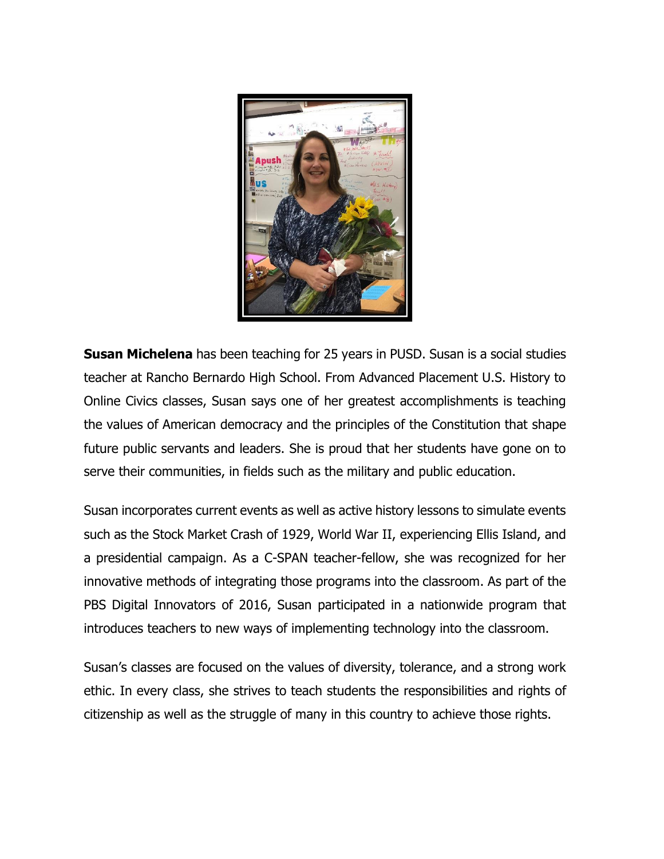

**Susan Michelena** has been teaching for 25 years in PUSD. Susan is a social studies teacher at Rancho Bernardo High School. From Advanced Placement U.S. History to Online Civics classes, Susan says one of her greatest accomplishments is teaching the values of American democracy and the principles of the Constitution that shape future public servants and leaders. She is proud that her students have gone on to serve their communities, in fields such as the military and public education.

Susan incorporates current events as well as active history lessons to simulate events such as the Stock Market Crash of 1929, World War II, experiencing Ellis Island, and a presidential campaign. As a C-SPAN teacher-fellow, she was recognized for her innovative methods of integrating those programs into the classroom. As part of the PBS Digital Innovators of 2016, Susan participated in a nationwide program that introduces teachers to new ways of implementing technology into the classroom.

Susan's classes are focused on the values of diversity, tolerance, and a strong work ethic. In every class, she strives to teach students the responsibilities and rights of citizenship as well as the struggle of many in this country to achieve those rights.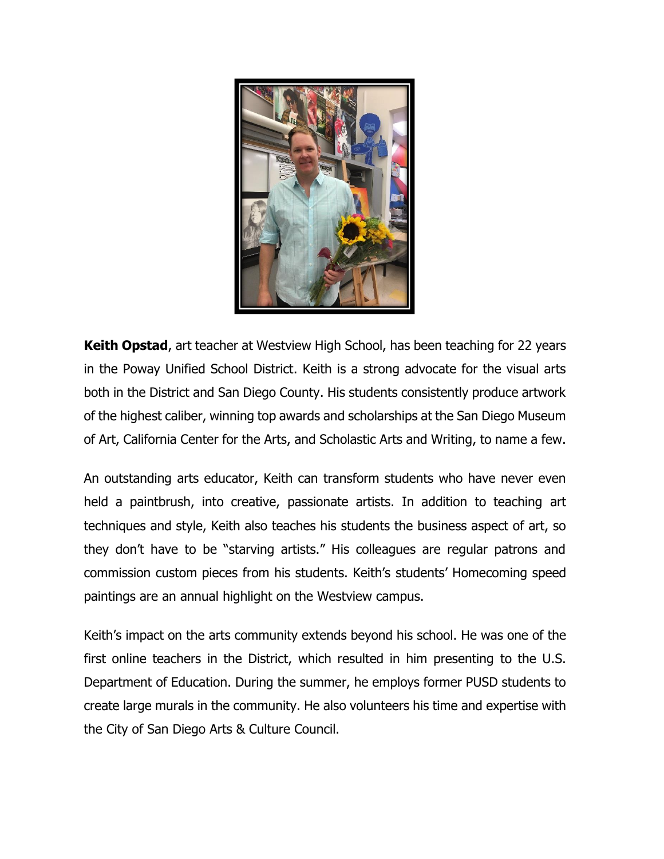

**Keith Opstad**, art teacher at Westview High School, has been teaching for 22 years in the Poway Unified School District. Keith is a strong advocate for the visual arts both in the District and San Diego County. His students consistently produce artwork of the highest caliber, winning top awards and scholarships at the San Diego Museum of Art, California Center for the Arts, and Scholastic Arts and Writing, to name a few.

An outstanding arts educator, Keith can transform students who have never even held a paintbrush, into creative, passionate artists. In addition to teaching art techniques and style, Keith also teaches his students the business aspect of art, so they don't have to be "starving artists." His colleagues are regular patrons and commission custom pieces from his students. Keith's students' Homecoming speed paintings are an annual highlight on the Westview campus.

Keith's impact on the arts community extends beyond his school. He was one of the first online teachers in the District, which resulted in him presenting to the U.S. Department of Education. During the summer, he employs former PUSD students to create large murals in the community. He also volunteers his time and expertise with the City of San Diego Arts & Culture Council.